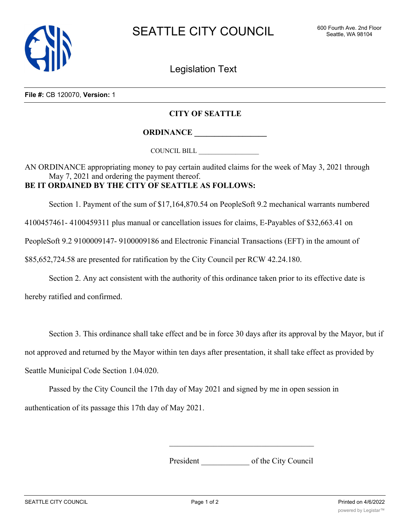

Legislation Text

**File #:** CB 120070, **Version:** 1

## **CITY OF SEATTLE**

**ORDINANCE \_\_\_\_\_\_\_\_\_\_\_\_\_\_\_\_\_\_**

COUNCIL BILL \_\_\_\_\_\_\_\_\_\_\_\_\_\_\_\_\_\_

AN ORDINANCE appropriating money to pay certain audited claims for the week of May 3, 2021 through May 7, 2021 and ordering the payment thereof. **BE IT ORDAINED BY THE CITY OF SEATTLE AS FOLLOWS:**

Section 1. Payment of the sum of \$17,164,870.54 on PeopleSoft 9.2 mechanical warrants numbered

4100457461- 4100459311 plus manual or cancellation issues for claims, E-Payables of \$32,663.41 on

PeopleSoft 9.2 9100009147- 9100009186 and Electronic Financial Transactions (EFT) in the amount of

\$85,652,724.58 are presented for ratification by the City Council per RCW 42.24.180.

Section 2. Any act consistent with the authority of this ordinance taken prior to its effective date is

hereby ratified and confirmed.

Section 3. This ordinance shall take effect and be in force 30 days after its approval by the Mayor, but if

not approved and returned by the Mayor within ten days after presentation, it shall take effect as provided by

Seattle Municipal Code Section 1.04.020.

Passed by the City Council the 17th day of May 2021 and signed by me in open session in authentication of its passage this 17th day of May 2021.

President \_\_\_\_\_\_\_\_\_\_\_\_ of the City Council